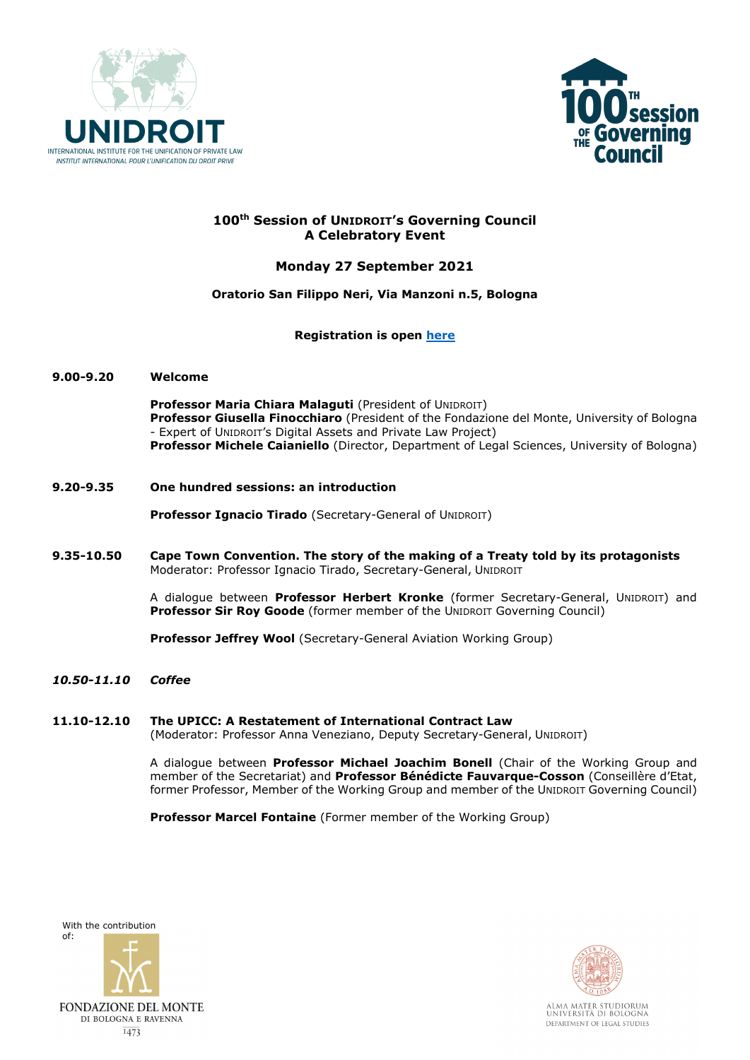



# **100th Session of UNIDROIT's Governing Council A Celebratory Event**

# **Monday 27 September 2021**

# **Oratorio San Filippo Neri, Via Manzoni n.5, Bologna**

# **Registration is open [here](https://us02web.zoom.us/webinar/register/WN_hCLeDaEtTYiK0zN76ZSLfQ)**

### **9.00-9.20 Welcome**

**Professor Maria Chiara Malaguti** (President of UNIDROIT) **Professor Giusella Finocchiaro** (President of the Fondazione del Monte, University of Bologna - Expert of UNIDROIT's Digital Assets and Private Law Project) **Professor Michele Caianiello** (Director, Department of Legal Sciences, University of Bologna)

**9.20-9.35 One hundred sessions: an introduction**

**Professor Ignacio Tirado** (Secretary-General of UNIDROIT)

**9.35-10.50 Cape Town Convention. The story of the making of a Treaty told by its protagonists** Moderator: Professor Ignacio Tirado, Secretary-General, UNIDROIT

> A dialogue between **Professor Herbert Kronke** (former Secretary-General, UNIDROIT) and **Professor Sir Roy Goode** (former member of the UNIDROIT Governing Council)

**Professor Jeffrey Wool** (Secretary-General Aviation Working Group)

*10.50-11.10 Coffee*

# **11.10-12.10 The UPICC: A Restatement of International Contract Law**

(Moderator: Professor Anna Veneziano, Deputy Secretary-General, UNIDROIT)

A dialogue between **Professor Michael Joachim Bonell** (Chair of the Working Group and member of the Secretariat) and **Professor Bénédicte Fauvarque-Cosson** (Conseillère d'Etat, former Professor, Member of the Working Group and member of the UNIDROIT Governing Council)

**Professor Marcel Fontaine** (Former member of the Working Group)